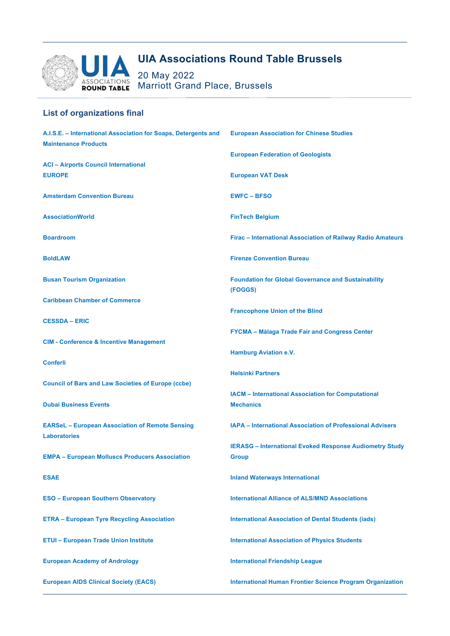

## **List of organizations final**

| A.I.S.E. - International Association for Soaps, Detergents and | <b>European Association for Chinese Studies</b>                  |
|----------------------------------------------------------------|------------------------------------------------------------------|
| <b>Maintenance Products</b>                                    |                                                                  |
|                                                                | <b>European Federation of Geologists</b>                         |
| <b>ACI - Airports Council International</b><br><b>EUROPE</b>   | <b>European VAT Desk</b>                                         |
|                                                                |                                                                  |
| <b>Amsterdam Convention Bureau</b>                             | <b>EWFC-BFSO</b>                                                 |
| <b>AssociationWorld</b>                                        | <b>FinTech Belgium</b>                                           |
| <b>Boardroom</b>                                               | Firac - International Association of Railway Radio Amateurs      |
| <b>BoldLAW</b>                                                 | <b>Firenze Convention Bureau</b>                                 |
| <b>Busan Tourism Organization</b>                              | <b>Foundation for Global Governance and Sustainability</b>       |
|                                                                | (FOGGS)                                                          |
| <b>Caribbean Chamber of Commerce</b>                           | <b>Francophone Union of the Blind</b>                            |
| <b>CESSDA – ERIC</b>                                           |                                                                  |
|                                                                | <b>FYCMA - Málaga Trade Fair and Congress Center</b>             |
| <b>CIM - Conference &amp; Incentive Management</b>             |                                                                  |
|                                                                | <b>Hamburg Aviation e.V.</b>                                     |
| <b>Conferli</b>                                                | <b>Helsinki Partners</b>                                         |
| <b>Council of Bars and Law Societies of Europe (ccbe)</b>      |                                                                  |
|                                                                | <b>IACM</b> - International Association for Computational        |
| <b>Dubai Business Events</b>                                   | <b>Mechanics</b>                                                 |
| <b>EARSeL</b> – European Association of Remote Sensing         | <b>IAPA - International Association of Professional Advisers</b> |
| <b>Laboratories</b>                                            |                                                                  |
|                                                                | <b>IERASG</b> - International Evoked Response Audiometry Study   |
| <b>EMPA - European Molluscs Producers Association</b>          | <b>Group</b>                                                     |
| <b>ESAE</b>                                                    | <b>Inland Waterways International</b>                            |
| <b>ESO - European Southern Observatory</b>                     | <b>International Alliance of ALS/MND Associations</b>            |
| <b>ETRA - European Tyre Recycling Association</b>              | <b>International Association of Dental Students (iads)</b>       |
| <b>ETUI - European Trade Union Institute</b>                   | <b>International Association of Physics Students</b>             |
| <b>European Academy of Andrology</b>                           | <b>International Friendship League</b>                           |
| <b>European AIDS Clinical Society (EACS)</b>                   | <b>International Human Frontier Science Program Organization</b> |